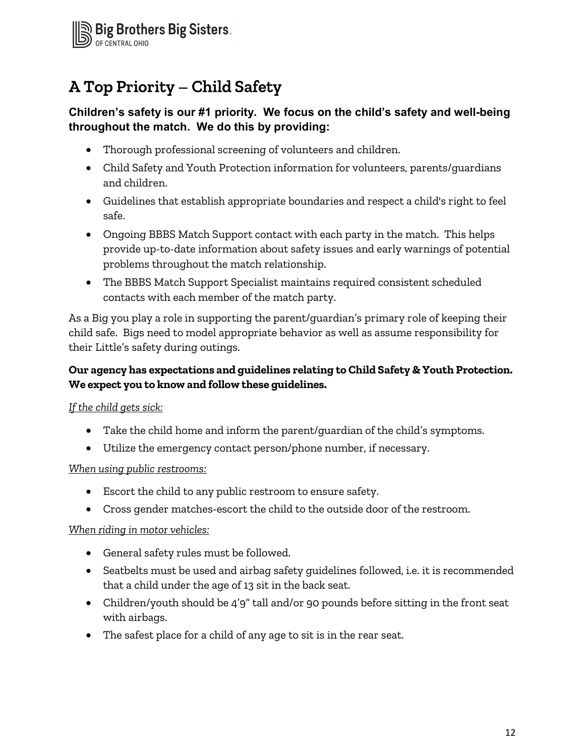

# **A Top Priority – Child Safety**

# Children's safety is our #1 priority. We focus on the child's safety and well-being throughout the match. We do this by providing:

- Thorough professional screening of volunteers and children.
- Child Safety and Youth Protection information for volunteers, parents/guardians and children.
- Guidelines that establish appropriate boundaries and respect a child's right to feel safe.
- Ongoing BBBS Match Support contact with each party in the match. This helps provide up-to-date information about safety issues and early warnings of potential problems throughout the match relationship.
- The BBBS Match Support Specialist maintains required consistent scheduled contacts with each member of the match party.

As a Big you play a role in supporting the parent/guardian's primary role of keeping their child safe. Bigs need to model appropriate behavior as well as assume responsibility for their Little's safety during outings.

# Our agency has expectations and guidelines relating to Child Safety & Youth Protection. We expect you to know and follow these guidelines.

# If the child gets sick:

- Take the child home and inform the parent/guardian of the child's symptoms.
- Utilize the emergency contact person/phone number, if necessary.

#### When using public restrooms:

- Escort the child to any public restroom to ensure safety.
- Cross gender matches-escort the child to the outside door of the restroom.

#### When riding in motor vehicles:

- General safety rules must be followed.
- Seatbelts must be used and airbag safety guidelines followed, i.e. it is recommended that a child under the age of 13 sit in the back seat.
- Children/youth should be 4'9" tall and/or 90 pounds before sitting in the front seat with airbags.
- The safest place for a child of any age to sit is in the rear seat.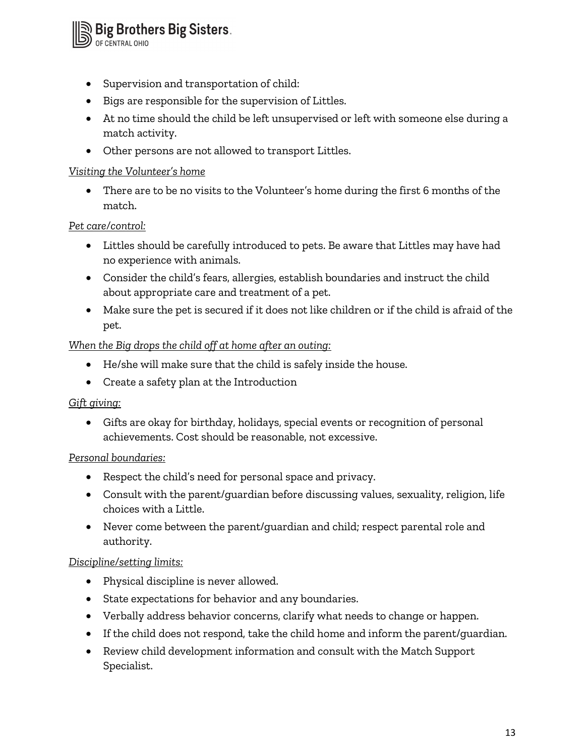<sup>n</sup> Big Brothers Big Sisters.<br>Dof central ohio

- Supervision and transportation of child:
- Bigs are responsible for the supervision of Littles.
- At no time should the child be left unsupervised or left with someone else during a match activity.
- Other persons are not allowed to transport Littles.

#### Visiting the Volunteer's home

 There are to be no visits to the Volunteer's home during the first 6 months of the match.

#### Pet care/control:

- Littles should be carefully introduced to pets. Be aware that Littles may have had no experience with animals.
- Consider the child's fears, allergies, establish boundaries and instruct the child about appropriate care and treatment of a pet.
- Make sure the pet is secured if it does not like children or if the child is afraid of the pet.

#### When the Big drops the child off at home after an outing:

- He/she will make sure that the child is safely inside the house.
- Create a safety plan at the Introduction

#### Gift giving:

 Gifts are okay for birthday, holidays, special events or recognition of personal achievements. Cost should be reasonable, not excessive.

#### Personal boundaries:

- Respect the child's need for personal space and privacy.
- Consult with the parent/guardian before discussing values, sexuality, religion, life choices with a Little.
- Never come between the parent/guardian and child; respect parental role and authority.

#### Discipline/setting limits:

- Physical discipline is never allowed.
- State expectations for behavior and any boundaries.
- Verbally address behavior concerns, clarify what needs to change or happen.
- If the child does not respond, take the child home and inform the parent/guardian.
- Review child development information and consult with the Match Support Specialist.